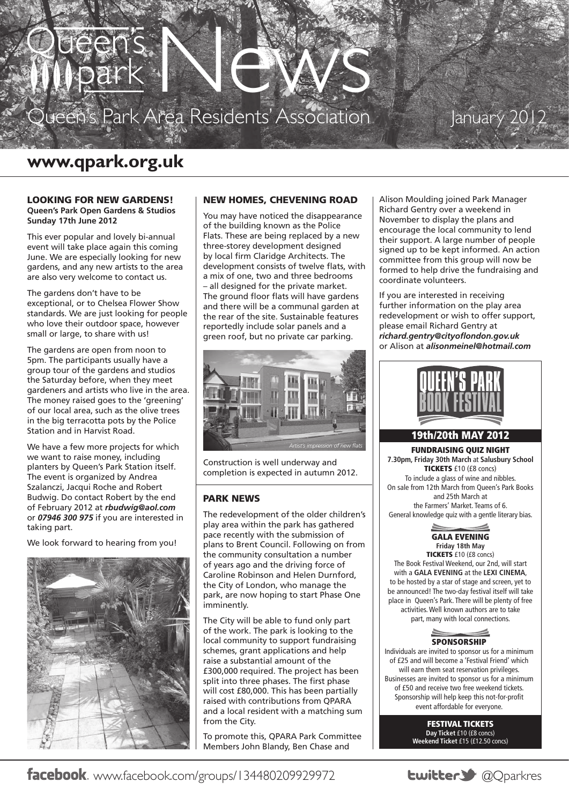

# January 201

# **www.qpark.org.uk**

#### LOOKING FOR NEW GARDENS! **Queen's Park Open Gardens & Studios Sunday 17th June 2012**

This ever popular and lovely bi-annual event will take place again this coming June. We are especially looking for new gardens, and any new artists to the area are also very welcome to contact us.

The gardens don't have to be exceptional, or to Chelsea Flower Show standards. We are just looking for people who love their outdoor space, however small or large, to share with us!

The gardens are open from noon to 5pm. The participants usually have a group tour of the gardens and studios the Saturday before, when they meet gardeners and artists who live in the area. The money raised goes to the 'greening' of our local area, such as the olive trees in the big terracotta pots by the Police Station and in Harvist Road.

We have a few more projects for which we want to raise money, including planters by Queen's Park Station itself. The event is organized by Andrea Szalanczi, Jacqui Roche and Robert Budwig. Do contact Robert by the end of February 2012 at *rbudwig@aol.com* or *07946 300 975* if you are interested in taking part.

We look forward to hearing from you!



# NEW HOMES, CHEVENING ROAD

You may have noticed the disappearance of the building known as the Police Flats. These are being replaced by a new three-storey development designed by local firm Claridge Architects. The development consists of twelve flats, with a mix of one, two and three bedrooms – all designed for the private market. The ground floor flats will have gardens and there will be a communal garden at the rear of the site. Sustainable features reportedly include solar panels and a green roof, but no private car parking.



Construction is well underway and completion is expected in autumn 2012.

### Park News

The redevelopment of the older children's play area within the park has gathered pace recently with the submission of plans to Brent Council. Following on from the community consultation a number of years ago and the driving force of Caroline Robinson and Helen Durnford, the City of London, who manage the park, are now hoping to start Phase One imminently.

The City will be able to fund only part of the work. The park is looking to the local community to support fundraising schemes, grant applications and help raise a substantial amount of the £300,000 required. The project has been split into three phases. The first phase will cost £80,000. This has been partially raised with contributions from QPARA and a local resident with a matching sum from the City.

To promote this, QPARA Park Committee Members John Blandy, Ben Chase and

Alison Moulding joined Park Manager Richard Gentry over a weekend in November to display the plans and encourage the local community to lend their support. A large number of people signed up to be kept informed. An action committee from this group will now be formed to help drive the fundraising and coordinate volunteers.

If you are interested in receiving further information on the play area redevelopment or wish to offer support, please email Richard Gentry at *richard.gentry@cityoflondon.gov.uk* or Alison at *alisonmeinel@hotmail.com*



# 19th/20th MAY 2012

FUNDRAISING QUIZ NIGHT **7.30pm, Friday 30th March** at **Salusbury School**  TICKETS £10 (£8 concs) To include a glass of wine and nibbles. On sale from 12th March from Queen's Park Books and 25th March at the Farmers' Market. Teams of 6. General knowledge quiz with a gentle literary bias.

> GALA EVENING **Friday 18th May** TICKETS £10 (£8 concs)

The Book Festival Weekend, our 2nd, will start with a **GALA EVENING** at the **LEXI CINEMA**, to be hosted by a star of stage and screen, yet to be announced! The two-day festival itself will take place in Queen's Park. There will be plenty of free activities. Well known authors are to take part, many with local connections.



Individuals are invited to sponsor us for a minimum of £25 and will become a 'Festival Friend' which will earn them seat reservation privileges. Businesses are invited to sponsor us for a minimum of £50 and receive two free weekend tickets. Sponsorship will help keep this not-for-profit event affordable for everyone.

> FESTIVAL TICKETS **Day Ticket** £10 (£8 concs) **Weekend Ticket** £15 (£12.50 concs)

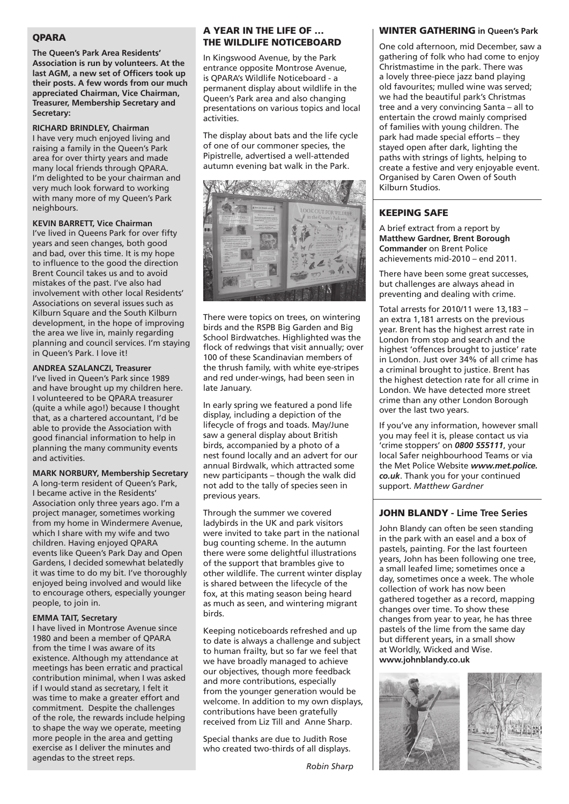#### **OPARA**

**The Queen's Park Area Residents' Association is run by volunteers. At the last AGM, a new set of Officers took up their posts. A few words from our much appreciated Chairman, Vice Chairman, Treasurer, Membership Secretary and Secretary:**

#### **RICHARD BRINDLEY, Chairman**

I have very much enjoyed living and raising a family in the Queen's Park area for over thirty years and made many local friends through QPARA. I'm delighted to be your chairman and very much look forward to working with many more of my Queen's Park neighbours.

#### **KEVIN BARRETT, Vice Chairman**

I've lived in Queens Park for over fifty years and seen changes, both good and bad, over this time. It is my hope to influence to the good the direction Brent Council takes us and to avoid mistakes of the past. I've also had involvement with other local Residents' Associations on several issues such as Kilburn Square and the South Kilburn development, in the hope of improving the area we live in, mainly regarding planning and council services. I'm staying in Queen's Park. I love it!

#### **ANDREA SZALANCZI, Treasurer**

I've lived in Queen's Park since 1989 and have brought up my children here. I volunteered to be QPARA treasurer (quite a while ago!) because I thought that, as a chartered accountant, I'd be able to provide the Association with good financial information to help in planning the many community events and activities.

# **MARK NORBURY, Membership Secretary**

A long-term resident of Queen's Park, I became active in the Residents' Association only three years ago. I'm a project manager, sometimes working from my home in Windermere Avenue, which I share with my wife and two children. Having enjoyed QPARA events like Queen's Park Day and Open Gardens, I decided somewhat belatedly it was time to do my bit. I've thoroughly enjoyed being involved and would like to encourage others, especially younger people, to join in.

#### **EMMA TAIT, Secretary**

I have lived in Montrose Avenue since 1980 and been a member of QPARA from the time I was aware of its existence. Although my attendance at meetings has been erratic and practical contribution minimal, when I was asked if I would stand as secretary, I felt it was time to make a greater effort and commitment. Despite the challenges of the role, the rewards include helping to shape the way we operate, meeting more people in the area and getting exercise as I deliver the minutes and agendas to the street reps.

#### A YEAR IN THE LIFE OF … the Wildlife Noticeboard

In Kingswood Avenue, by the Park entrance opposite Montrose Avenue, is QPARA's Wildlife Noticeboard - a permanent display about wildlife in the Queen's Park area and also changing presentations on various topics and local activities.

The display about bats and the life cycle of one of our commoner species, the Pipistrelle, advertised a well-attended autumn evening bat walk in the Park.



There were topics on trees, on wintering birds and the RSPB Big Garden and Big School Birdwatches. Highlighted was the flock of redwings that visit annually; over 100 of these Scandinavian members of the thrush family, with white eye-stripes and red under-wings, had been seen in late January.

In early spring we featured a pond life display, including a depiction of the lifecycle of frogs and toads. May/June saw a general display about British birds, accompanied by a photo of a nest found locally and an advert for our annual Birdwalk, which attracted some new participants – though the walk did not add to the tally of species seen in previous years.

Through the summer we covered ladybirds in the UK and park visitors were invited to take part in the national bug counting scheme. In the autumn there were some delightful illustrations of the support that brambles give to other wildlife. The current winter display is shared between the lifecycle of the fox, at this mating season being heard as much as seen, and wintering migrant birds.

Keeping noticeboards refreshed and up to date is always a challenge and subject to human frailty, but so far we feel that we have broadly managed to achieve our objectives, though more feedback and more contributions, especially from the younger generation would be welcome. In addition to my own displays, contributions have been gratefully received from Liz Till and Anne Sharp.

Special thanks are due to Judith Rose who created two-thirds of all displays.

#### WINTER GATHERING **in Queen's Park**

One cold afternoon, mid December, saw a gathering of folk who had come to enjoy Christmastime in the park. There was a lovely three-piece jazz band playing old favourites; mulled wine was served; we had the beautiful park's Christmas tree and a very convincing Santa – all to entertain the crowd mainly comprised of families with young children. The park had made special efforts – they stayed open after dark, lighting the paths with strings of lights, helping to create a festive and very enjoyable event. Organised by Caren Owen of South Kilburn Studios.

# KEEPING SAFE

A brief extract from a report by **Matthew Gardner, Brent Borough Commander** on Brent Police achievements mid-2010 – end 2011.

There have been some great successes, but challenges are always ahead in preventing and dealing with crime.

Total arrests for 2010/11 were 13,183 – an extra 1,181 arrests on the previous year. Brent has the highest arrest rate in London from stop and search and the highest 'offences brought to justice' rate in London. Just over 34% of all crime has a criminal brought to justice. Brent has the highest detection rate for all crime in London. We have detected more street crime than any other London Borough over the last two years.

If you've any information, however small you may feel it is, please contact us via 'crime stoppers' on *0800 555111*, your local Safer neighbourhood Teams or via the Met Police Website *www.met.police. co.uk*. Thank you for your continued support. *Matthew Gardner*

# JOHN BLANDY **- Lime Tree Series**

John Blandy can often be seen standing in the park with an easel and a box of pastels, painting. For the last fourteen years, John has been following one tree, a small leafed lime; sometimes once a day, sometimes once a week. The whole collection of work has now been gathered together as a record, mapping changes over time. To show these changes from year to year, he has three pastels of the lime from the same day but different years, in a small show at Worldly, Wicked and Wise. **www.johnblandy.co.uk**



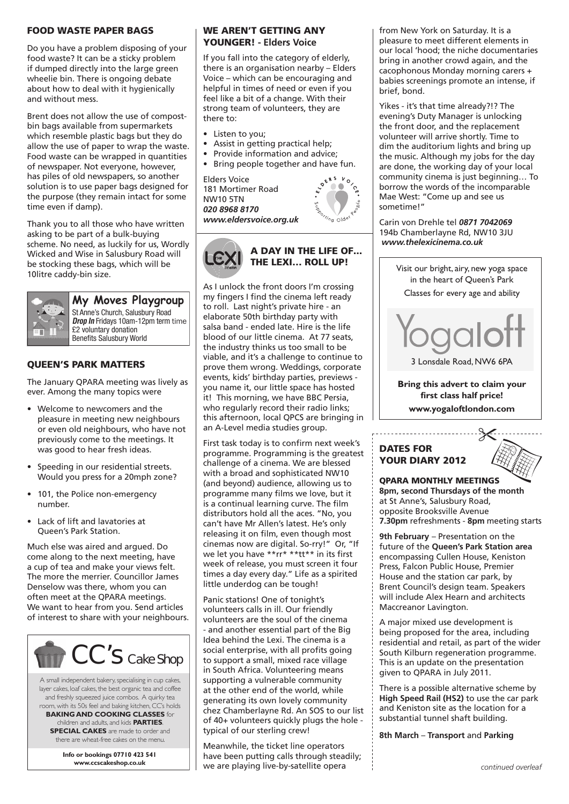### FOOD WASTE PAPER BAGS

Do you have a problem disposing of your food waste? It can be a sticky problem if dumped directly into the large green wheelie bin. There is ongoing debate about how to deal with it hygienically and without mess.

Brent does not allow the use of compostbin bags available from supermarkets which resemble plastic bags but they do allow the use of paper to wrap the waste. Food waste can be wrapped in quantities of newspaper. Not everyone, however, has piles of old newspapers, so another solution is to use paper bags designed for the purpose (they remain intact for some time even if damp).

Thank you to all those who have written asking to be part of a bulk-buying scheme. No need, as luckily for us, Wordly Wicked and Wise in Salusbury Road will be stocking these bags, which will be 10litre caddy-bin size.



**My Moves Playgroup**

St Anne's Church, Salusbury Road **Drop In** Fridays 10am-12pm term time £2 voluntary donation Benefits Salusbury World

# QUEEN'S PARK MATTERS

The January QPARA meeting was lively as ever. Among the many topics were

- • Welcome to newcomers and the pleasure in meeting new neighbours or even old neighbours, who have not previously come to the meetings. It was good to hear fresh ideas.
- • Speeding in our residential streets. Would you press for a 20mph zone?
- 101, the Police non-emergency number.
- • Lack of lift and lavatories at Queen's Park Station.

Much else was aired and argued. Do come along to the next meeting, have a cup of tea and make your views felt. The more the merrier. Councillor James Denselow was there, whom you can often meet at the QPARA meetings. We want to hear from you. Send articles of interest to share with your neighbours.



A small independent bakery, specialising in cup cakes, layer cakes, loaf cakes, the best organic tea and coffee and freshly squeezed juice combos. A quirky tea room, with its 50s feel and baking kitchen, CC's holds

**BAKING AND COOKING CLASSES** for children and adults, and kids **PARTIES**. **SPECIAL CAKES** are made to order and there are wheat-free cakes on the menu.

> **Info or bookings 07710 423 541 www.ccscakeshop.co.uk**

### We Aren't Getting Any Younger! **- Elders Voice**

If you fall into the category of elderly, there is an organisation nearby – Elders Voice – which can be encouraging and helpful in times of need or even if you feel like a bit of a change. With their strong team of volunteers, they are there to:

- Listen to you;
- Assist in getting practical help;
- Provide information and advice:
- Bring people together and have fun.<br>
Flders Voice<br>
expansion of the set of the set of the set of the set of the set of the set of the set of the set of the set of the set of the set of the set of the set of the set of t

Elders Voice 181 Mortimer Road NW10 5TN *020 8968 8170 www.eldersvoice.org.uk*





As I unlock the front doors I'm crossing my fingers I find the cinema left ready to roll. Last night's private hire - an elaborate 50th birthday party with salsa band - ended late. Hire is the life blood of our little cinema. At 77 seats, the industry thinks us too small to be viable, and it's a challenge to continue to prove them wrong. Weddings, corporate events, kids' birthday parties, previews you name it, our little space has hosted it! This morning, we have BBC Persia, who regularly record their radio links; this afternoon, local QPCS are bringing in an A-Level media studies group.

First task today is to confirm next week's programme. Programming is the greatest challenge of a cinema. We are blessed with a broad and sophisticated NW10 (and beyond) audience, allowing us to programme many films we love, but it is a continual learning curve. The film distributors hold all the aces. "No, you can't have Mr Allen's latest. He's only releasing it on film, even though most cinemas now are digital. So-rry!" Or, "If we let you have \*\*rr\* \*\*tt\*\* in its first week of release, you must screen it four times a day every day." Life as a spirited little underdog can be tough!

Panic stations! One of tonight's volunteers calls in ill. Our friendly volunteers are the soul of the cinema - and another essential part of the Big Idea behind the Lexi. The cinema is a social enterprise, with all profits going to support a small, mixed race village in South Africa. Volunteering means supporting a vulnerable community at the other end of the world, while generating its own lovely community chez Chamberlayne Rd. An SOS to our list of 40+ volunteers quickly plugs the hole typical of our sterling crew!

Meanwhile, the ticket line operators have been putting calls through steadily; we are playing live-by-satellite opera

from New York on Saturday. It is a pleasure to meet different elements in our local 'hood; the niche documentaries bring in another crowd again, and the cacophonous Monday morning carers + babies screenings promote an intense, if brief, bond.

Yikes - it's that time already?!? The evening's Duty Manager is unlocking the front door, and the replacement volunteer will arrive shortly. Time to dim the auditorium lights and bring up the music. Although my jobs for the day are done, the working day of your local community cinema is just beginning… To borrow the words of the incomparable Mae West: "Come up and see us sometime!"

Carin von Drehle tel *0871 7042069* 194b Chamberlayne Rd, NW10 3JU  *www.thelexicinema.co.uk*

> Visit our bright, airy, new yoga space in the heart of Queen's Park Classes for every age and ability



**Bring this advert to claim your first class half price! www.yogaloftlondon.com**

# DATES FOR YOUR DIARY 2012



QPARA MONTHLY MEETINGS **8pm, second Thursdays of the month** at St Anne's, Salusbury Road, opposite Brooksville Avenue **7.30pm** refreshments - **8pm** meeting starts

**9th February** – Presentation on the future of the **Queen's Park Station area** encompassing Cullen House, Keniston Press, Falcon Public House, Premier House and the station car park, by Brent Council's design team. Speakers will include Alex Hearn and architects Maccreanor Lavington.

A major mixed use development is being proposed for the area, including residential and retail, as part of the wider South Kilburn regeneration programme. This is an update on the presentation given to QPARA in July 2011.

There is a possible alternative scheme by **High Speed Rail (HS2)** to use the car park and Keniston site as the location for a substantial tunnel shaft building.

**8th March** – **Transport** and **Parking**